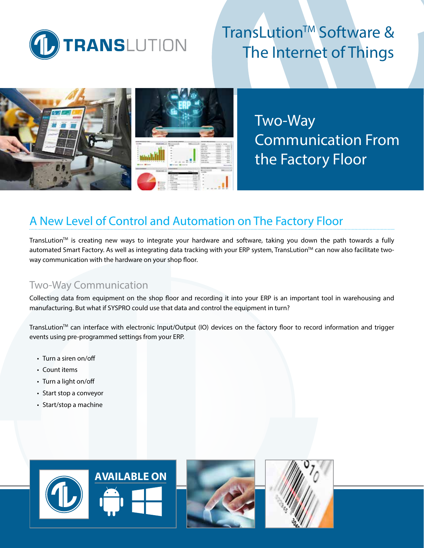

# TransLution™ Software & The Internet of Things





Two-Way Communication From the Factory Floor

# A New Level of Control and Automation on The Factory Floor

TransLution $TM$  is creating new ways to integrate your hardware and software, taking you down the path towards a fully automated Smart Factory. As well as integrating data tracking with your ERP system, TransLution™ can now also facilitate twoway communication with the hardware on your shop floor.

## Two-Way Communication

Collecting data from equipment on the shop floor and recording it into your ERP is an important tool in warehousing and manufacturing. But what if SYSPRO could use that data and control the equipment in turn?

TransLution™ can interface with electronic Input/Output (IO) devices on the factory floor to record information and trigger events using pre-programmed settings from your ERP.

- Turn a siren on/off
- Count items
- Turn a light on/off
- Start stop a conveyor
- Start/stop a machine